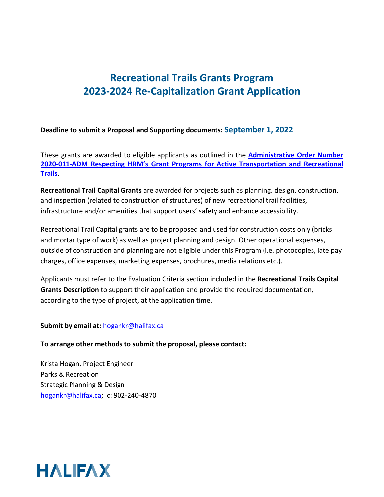#### **Deadline to submit a Proposal and Supporting documents: September 1, 2022**

These grants are awarded to eligible applicants as outlined in the **[Administrative Order Number](https://www.halifax.ca/sites/default/files/documents/city-hall/legislation-by-laws/2020-011-ADM.pdf)  2020-011-ADM Respecting [HRM's Grant Programs for Active Transportation and Recreational](https://www.halifax.ca/sites/default/files/documents/city-hall/legislation-by-laws/2020-011-ADM.pdf)  [Trails](https://www.halifax.ca/sites/default/files/documents/city-hall/legislation-by-laws/2020-011-ADM.pdf)**.

**Recreational Trail Capital Grants** are awarded for projects such as planning, design, construction, and inspection (related to construction of structures) of new recreational trail facilities, infrastructure and/or amenities that support users' safety and enhance accessibility.

Recreational Trail Capital grants are to be proposed and used for construction costs only (bricks and mortar type of work) as well as project planning and design. Other operational expenses, outside of construction and planning are not eligible under this Program (i.e. photocopies, late pay charges, office expenses, marketing expenses, brochures, media relations etc.).

Applicants must refer to the Evaluation Criteria section included in the **Recreational Trails Capital Grants Description** to support their application and provide the required documentation, according to the type of project, at the application time.

#### **Submit by email at:**[hogankr@halifax.ca](mailto:hogankr@halifax.ca)

#### **To arrange other methods to submit the proposal, please contact:**

Krista Hogan, Project Engineer Parks & Recreation Strategic Planning & Design [hogankr@halifax.ca;](mailto:hogankr@halifax.ca) c: 902-240-4870

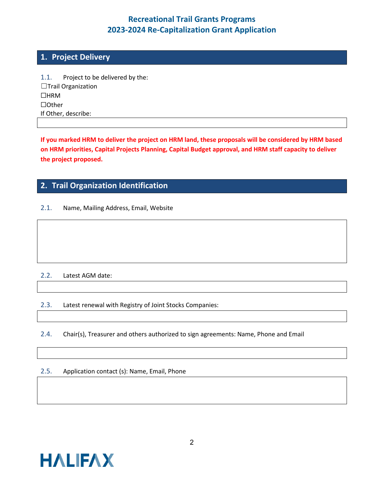### **1. Project Delivery**

1.1. Project to be delivered by the: ☐Trail Organization ☐HRM ☐Other If Other, describe:

**If you marked HRM to deliver the project on HRM land, these proposals will be considered by HRM based on HRM priorities, Capital Projects Planning, Capital Budget approval, and HRM staff capacity to deliver the project proposed.**

### **2. Trail Organization Identification**

2.1. Name, Mailing Address, Email, Website

#### 2.2. Latest AGM date:

2.3. Latest renewal with Registry of Joint Stocks Companies:

2.4. Chair(s), Treasurer and others authorized to sign agreements: Name, Phone and Email

#### 2.5. Application contact (s): Name, Email, Phone

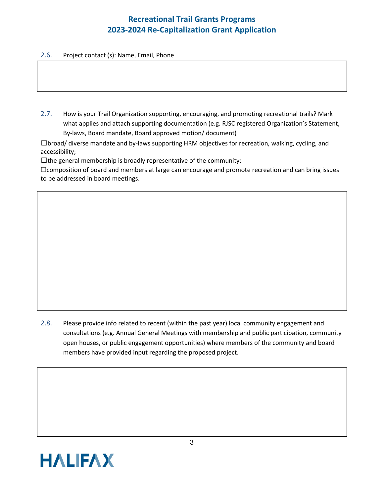#### 2.6. Project contact (s): Name, Email, Phone

2.7. How is your Trail Organization supporting, encouraging, and promoting recreational trails? Mark what applies and attach supporting documentation (e.g. RJSC registered Organization's Statement, By-laws, Board mandate, Board approved motion/ document)

 $\Box$ broad/ diverse mandate and by-laws supporting HRM objectives for recreation, walking, cycling, and accessibility;

 $\Box$  the general membership is broadly representative of the community;

□ composition of board and members at large can encourage and promote recreation and can bring issues to be addressed in board meetings.

2.8. Please provide info related to recent (within the past year) local community engagement and consultations (e.g. Annual General Meetings with membership and public participation, community open houses, or public engagement opportunities) where members of the community and board members have provided input regarding the proposed project.

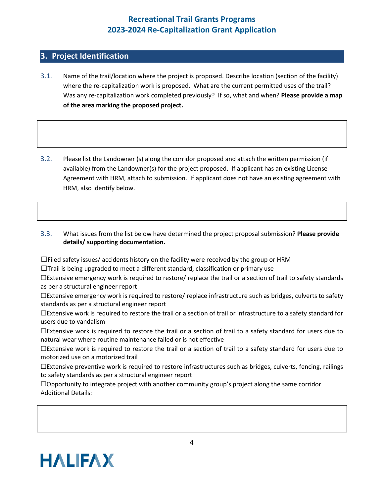### **3. Project Identification**

- 3.1. Name of the trail/location where the project is proposed. Describe location (section of the facility) where the re-capitalization work is proposed. What are the current permitted uses of the trail? Was any re-capitalization work completed previously? If so, what and when? **Please provide a map of the area marking the proposed project.**
- 3.2. Please list the Landowner (s) along the corridor proposed and attach the written permission (if available) from the Landowner(s) for the project proposed. If applicant has an existing License Agreement with HRM, attach to submission. If applicant does not have an existing agreement with HRM, also identify below.

3.3. What issues from the list below have determined the project proposal submission? **Please provide details/ supporting documentation.**

 $\Box$ Filed safety issues/ accidents history on the facility were received by the group or HRM

 $\Box$ Trail is being upgraded to meet a different standard, classification or primary use

☐Extensive emergency work is required to restore/ replace the trail or a section of trail to safety standards as per a structural engineer report

☐Extensive emergency work is required to restore/ replace infrastructure such as bridges, culverts to safety standards as per a structural engineer report

☐Extensive work is required to restore the trail or a section of trail or infrastructure to a safety standard for users due to vandalism

☐Extensive work is required to restore the trail or a section of trail to a safety standard for users due to natural wear where routine maintenance failed or is not effective

☐Extensive work is required to restore the trail or a section of trail to a safety standard for users due to motorized use on a motorized trail

☐Extensive preventive work is required to restore infrastructures such as bridges, culverts, fencing, railings to safety standards as per a structural engineer report

 $\Box$ Opportunity to integrate project with another community group's project along the same corridor Additional Details:

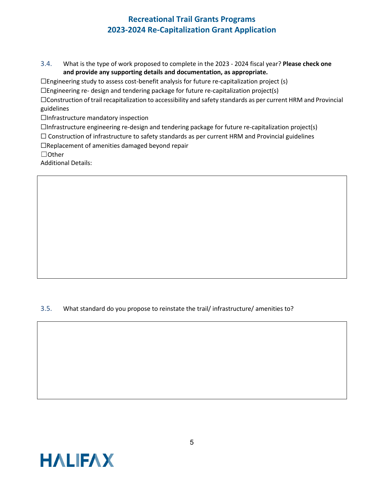3.4. What is the type of work proposed to complete in the 2023 - 2024 fiscal year? **Please check one and provide any supporting details and documentation, as appropriate.**

 $\Box$ Engineering study to assess cost-benefit analysis for future re-capitalization project (s)

 $\Box$ Engineering re- design and tendering package for future re-capitalization project(s)

☐Construction of trail recapitalization to accessibility and safety standards as per current HRM and Provincial guidelines

□Infrastructure mandatory inspection

 $\Box$ Infrastructure engineering re-design and tendering package for future re-capitalization project(s)

 $\Box$  Construction of infrastructure to safety standards as per current HRM and Provincial guidelines

☐Replacement of amenities damaged beyond repair

☐Other

Additional Details:

3.5. What standard do you propose to reinstate the trail/ infrastructure/ amenities to?

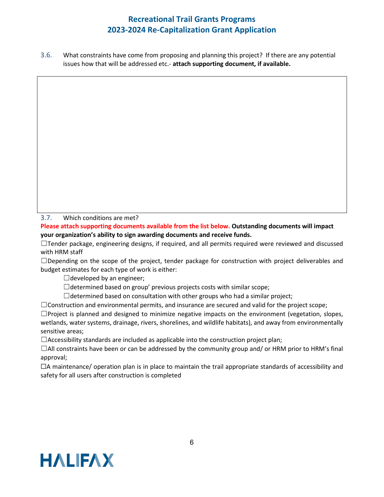3.6. What constraints have come from proposing and planning this project? If there are any potential issues how that will be addressed etc.- **attach supporting document, if available.**

3.7. Which conditions are met?

**Please attach supporting documents available from the list below. Outstanding documents will impact your organization's ability to sign awarding documents and receive funds.**

☐Tender package, engineering designs, if required, and all permits required were reviewed and discussed with HRM staff

 $\Box$ Depending on the scope of the project, tender package for construction with project deliverables and budget estimates for each type of work is either:

 $\Box$ developed by an engineer;

 $\Box$ determined based on group' previous projects costs with similar scope;

 $\Box$ determined based on consultation with other groups who had a similar project;

 $\Box$ Construction and environmental permits, and insurance are secured and valid for the project scope;

 $\Box$ Project is planned and designed to minimize negative impacts on the environment (vegetation, slopes, wetlands, water systems, drainage, rivers, shorelines, and wildlife habitats), and away from environmentally sensitive areas;

 $\Box$ Accessibility standards are included as applicable into the construction project plan;

 $\Box$ All constraints have been or can be addressed by the community group and/ or HRM prior to HRM's final approval;

☐A maintenance/ operation plan is in place to maintain the trail appropriate standards of accessibility and safety for all users after construction is completed

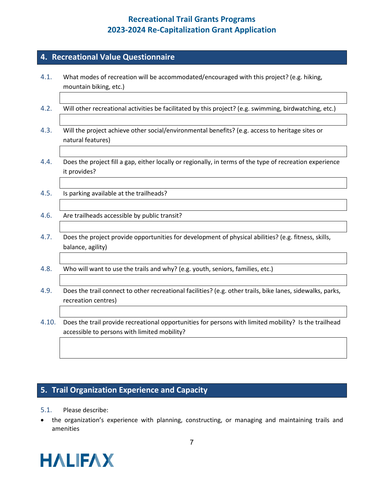#### **4. Recreational Value Questionnaire**

- 4.1. What modes of recreation will be accommodated/encouraged with this project? (e.g. hiking, mountain biking, etc.)
- 4.2. Will other recreational activities be facilitated by this project? (e.g. swimming, birdwatching, etc.)
- 4.3. Will the project achieve other social/environmental benefits? (e.g. access to heritage sites or natural features)
- 4.4. Does the project fill a gap, either locally or regionally, in terms of the type of recreation experience it provides?
- 4.5. Is parking available at the trailheads?
- 4.6. Are trailheads accessible by public transit?
- 4.7. Does the project provide opportunities for development of physical abilities? (e.g. fitness, skills, balance, agility)
- 4.8. Who will want to use the trails and why? (e.g. youth, seniors, families, etc.)
- 4.9. Does the trail connect to other recreational facilities? (e.g. other trails, bike lanes, sidewalks, parks, recreation centres)

4.10. Does the trail provide recreational opportunities for persons with limited mobility? Is the trailhead accessible to persons with limited mobility?

#### **5. Trail Organization Experience and Capacity**

- 5.1. Please describe:
- the organization's experience with planning, constructing, or managing and maintaining trails and amenities

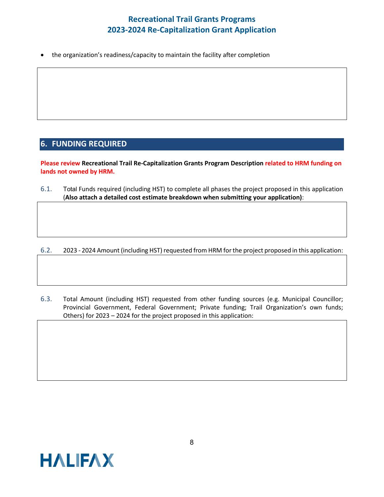• the organization's readiness/capacity to maintain the facility after completion

### **6. FUNDING REQUIRED**

**Please review Recreational Trail Re-Capitalization Grants Program Description related to HRM funding on lands not owned by HRM.**

6.1. Total Funds required (including HST) to complete all phases the project proposed in this application (**Also attach a detailed cost estimate breakdown when submitting your application)**:

6.2. 2023 - 2024 Amount (including HST) requested from HRM for the project proposed in this application:

6.3. Total Amount (including HST) requested from other funding sources (e.g. Municipal Councillor; Provincial Government, Federal Government; Private funding; Trail Organization's own funds; Others) for 2023 – 2024 for the project proposed in this application: